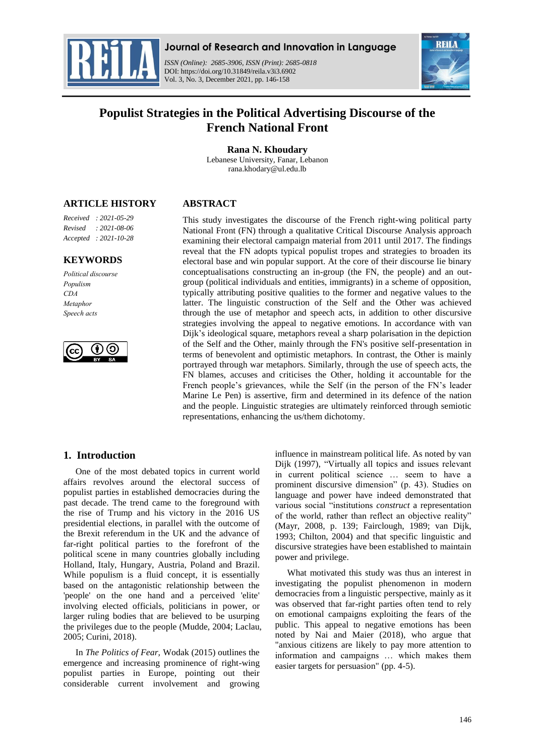

**Journal of Research and Innovation in Language**

*ISSN (Online): 2685-3906, ISSN (Print): 2685-0818*  DOI: https://doi.org/10.31849/reila.v3i3.6902 Vol. 3, No. 3, December 2021, pp. 146-158



# **Populist Strategies in the Political Advertising Discourse of the French National Front**

**Rana N. Khoudary** Lebanese University, Fanar, Lebanon rana.khodary@ul.edu.lb

# **ARTICLE HISTORY**

**ABSTRACT**

*Received : 2021-05-29 Revised : 2021-08-06 Accepted : 2021-10-28*

### **KEYWORDS**

*Political discourse Populism CDA Metaphor Speech acts*



This study investigates the discourse of the French right-wing political party National Front (FN) through a qualitative Critical Discourse Analysis approach examining their electoral campaign material from 2011 until 2017. The findings reveal that the FN adopts typical populist tropes and strategies to broaden its electoral base and win popular support. At the core of their discourse lie binary conceptualisations constructing an in-group (the FN, the people) and an outgroup (political individuals and entities, immigrants) in a scheme of opposition, typically attributing positive qualities to the former and negative values to the latter. The linguistic construction of the Self and the Other was achieved through the use of metaphor and speech acts, in addition to other discursive strategies involving the appeal to negative emotions. In accordance with van Dijk"s ideological square, metaphors reveal a sharp polarisation in the depiction of the Self and the Other, mainly through the FN's positive self-presentation in terms of benevolent and optimistic metaphors. In contrast, the Other is mainly portrayed through war metaphors. Similarly, through the use of speech acts, the FN blames, accuses and criticises the Other, holding it accountable for the French people's grievances, while the Self (in the person of the FN's leader Marine Le Pen) is assertive, firm and determined in its defence of the nation and the people. Linguistic strategies are ultimately reinforced through semiotic representations, enhancing the us/them dichotomy.

# **1. Introduction**

One of the most debated topics in current world affairs revolves around the electoral success of populist parties in established democracies during the past decade. The trend came to the foreground with the rise of Trump and his victory in the 2016 US presidential elections, in parallel with the outcome of the Brexit referendum in the UK and the advance of far-right political parties to the forefront of the political scene in many countries globally including Holland, Italy, Hungary, Austria, Poland and Brazil. While populism is a fluid concept, it is essentially based on the antagonistic relationship between the 'people' on the one hand and a perceived 'elite' involving elected officials, politicians in power, or larger ruling bodies that are believed to be usurping the privileges due to the people (Mudde, 2004; Laclau, 2005; Curini, 2018).

In *The Politics of Fear,* Wodak (2015) outlines the emergence and increasing prominence of right-wing populist parties in Europe, pointing out their considerable current involvement and growing influence in mainstream political life. As noted by van Dijk (1997), "Virtually all topics and issues relevant in current political science … seem to have a prominent discursive dimension" (p. 43). Studies on language and power have indeed demonstrated that various social "institutions *construct* a representation of the world, rather than reflect an objective reality" (Mayr, 2008, p. 139; Fairclough, 1989; van Dijk, 1993; Chilton, 2004) and that specific linguistic and discursive strategies have been established to maintain power and privilege.

What motivated this study was thus an interest in investigating the populist phenomenon in modern democracies from a linguistic perspective, mainly as it was observed that far-right parties often tend to rely on emotional campaigns exploiting the fears of the public. This appeal to negative emotions has been noted by Nai and Maier (2018), who argue that "anxious citizens are likely to pay more attention to information and campaigns … which makes them easier targets for persuasion" (pp. 4-5).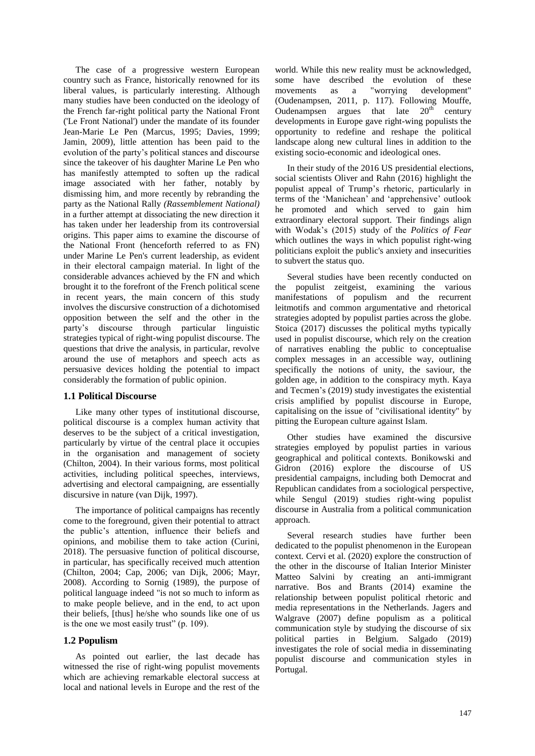The case of a progressive western European country such as France, historically renowned for its liberal values, is particularly interesting. Although many studies have been conducted on the ideology of the French far-right political party the National Front ('Le Front National') under the mandate of its founder Jean-Marie Le Pen (Marcus, 1995; Davies, 1999; Jamin, 2009), little attention has been paid to the evolution of the party"s political stances and discourse since the takeover of his daughter Marine Le Pen who has manifestly attempted to soften up the radical image associated with her father, notably by dismissing him, and more recently by rebranding the party as the National Rally *(Rassemblement National)*  in a further attempt at dissociating the new direction it has taken under her leadership from its controversial origins. This paper aims to examine the discourse of the National Front (henceforth referred to as FN) under Marine Le Pen's current leadership, as evident in their electoral campaign material. In light of the considerable advances achieved by the FN and which brought it to the forefront of the French political scene in recent years, the main concern of this study involves the discursive construction of a dichotomised opposition between the self and the other in the party"s discourse through particular linguistic strategies typical of right-wing populist discourse. The questions that drive the analysis, in particular, revolve around the use of metaphors and speech acts as persuasive devices holding the potential to impact considerably the formation of public opinion.

### **1.1 Political Discourse**

Like many other types of institutional discourse, political discourse is a complex human activity that deserves to be the subject of a critical investigation, particularly by virtue of the central place it occupies in the organisation and management of society (Chilton, 2004). In their various forms, most political activities, including political speeches, interviews, advertising and electoral campaigning, are essentially discursive in nature (van Dijk, 1997).

The importance of political campaigns has recently come to the foreground, given their potential to attract the public"s attention, influence their beliefs and opinions, and mobilise them to take action (Curini, 2018). The persuasive function of political discourse, in particular, has specifically received much attention (Chilton, 2004; Cap, 2006; van Dijk, 2006; Mayr, 2008). According to Sornig (1989), the purpose of political language indeed "is not so much to inform as to make people believe, and in the end, to act upon their beliefs, [thus] he/she who sounds like one of us is the one we most easily trust" (p. 109).

### **1.2 Populism**

As pointed out earlier, the last decade has witnessed the rise of right-wing populist movements which are achieving remarkable electoral success at local and national levels in Europe and the rest of the

world. While this new reality must be acknowledged, some have described the evolution of these movements as a "worrying development" (Oudenampsen, 2011, p. 117). Following Mouffe, Oudenampsen argues that late  $20<sup>th</sup>$  century developments in Europe gave right-wing populists the opportunity to redefine and reshape the political landscape along new cultural lines in addition to the existing socio-economic and ideological ones.

In their study of the 2016 US presidential elections, social scientists Oliver and Rahn (2016) highlight the populist appeal of Trump"s rhetoric, particularly in terms of the "Manichean" and "apprehensive" outlook he promoted and which served to gain him extraordinary electoral support. Their findings align with Wodak"s (2015) study of the *Politics of Fear*  which outlines the ways in which populist right-wing politicians exploit the public's anxiety and insecurities to subvert the status quo.

Several studies have been recently conducted on the populist zeitgeist, examining the various manifestations of populism and the recurrent leitmotifs and common argumentative and rhetorical strategies adopted by populist parties across the globe. Stoica (2017) discusses the political myths typically used in populist discourse, which rely on the creation of narratives enabling the public to conceptualise complex messages in an accessible way, outlining specifically the notions of unity, the saviour, the golden age, in addition to the conspiracy myth. Kaya and Tecmen"s (2019) study investigates the existential crisis amplified by populist discourse in Europe, capitalising on the issue of "civilisational identity" by pitting the European culture against Islam.

Other studies have examined the discursive strategies employed by populist parties in various geographical and political contexts. Bonikowski and Gidron (2016) explore the discourse of US presidential campaigns, including both Democrat and Republican candidates from a sociological perspective, while Sengul (2019) studies right-wing populist discourse in Australia from a political communication approach.

Several research studies have further been dedicated to the populist phenomenon in the European context. Cervi et al. (2020) explore the construction of the other in the discourse of Italian Interior Minister Matteo Salvini by creating an anti-immigrant narrative. Bos and Brants (2014) examine the relationship between populist political rhetoric and media representations in the Netherlands. Jagers and Walgrave (2007) define populism as a political communication style by studying the discourse of six political parties in Belgium. Salgado (2019) investigates the role of social media in disseminating populist discourse and communication styles in Portugal.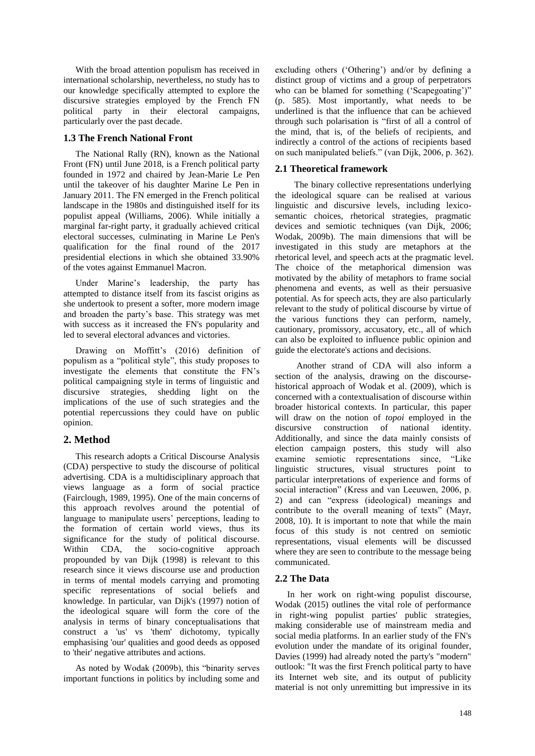With the broad attention populism has received in international scholarship, nevertheless, no study has to our knowledge specifically attempted to explore the discursive strategies employed by the French FN political party in their electoral campaigns, particularly over the past decade.

# **1.3 The French National Front**

The National Rally (RN), known as the National Front (FN) until June 2018, is a French political party founded in 1972 and chaired by Jean-Marie Le Pen until the takeover of his daughter Marine Le Pen in January 2011. The FN emerged in the French political landscape in the 1980s and distinguished itself for its populist appeal (Williams, 2006). While initially a marginal far-right party, it gradually achieved critical electoral successes, culminating in Marine Le Pen's qualification for the final round of the 2017 presidential elections in which she obtained 33.90% of the votes against Emmanuel Macron.

Under Marine"s leadership, the party has attempted to distance itself from its fascist origins as she undertook to present a softer, more modern image and broaden the party"s base. This strategy was met with success as it increased the FN's popularity and led to several electoral advances and victories.

Drawing on Moffitt's (2016) definition of populism as a "political style", this study proposes to investigate the elements that constitute the FN"s political campaigning style in terms of linguistic and discursive strategies, shedding light on the implications of the use of such strategies and the potential repercussions they could have on public opinion.

# **2. Method**

This research adopts a Critical Discourse Analysis (CDA) perspective to study the discourse of political advertising. CDA is a multidisciplinary approach that views language as a form of social practice (Fairclough, 1989, 1995). One of the main concerns of this approach revolves around the potential of language to manipulate users' perceptions, leading to the formation of certain world views, thus its significance for the study of political discourse. Within CDA, the socio-cognitive approach propounded by van Dijk (1998) is relevant to this research since it views discourse use and production in terms of mental models carrying and promoting specific representations of social beliefs and knowledge. In particular, van Dijk's (1997) notion of the ideological square will form the core of the analysis in terms of binary conceptualisations that construct a 'us' vs 'them' dichotomy, typically emphasising 'our' qualities and good deeds as opposed to 'their' negative attributes and actions.

As noted by Wodak (2009b), this "binarity serves important functions in politics by including some and excluding others ('Othering') and/or by defining a distinct group of victims and a group of perpetrators who can be blamed for something ('Scapegoating')" (p. 585). Most importantly, what needs to be underlined is that the influence that can be achieved through such polarisation is "first of all a control of the mind, that is, of the beliefs of recipients, and indirectly a control of the actions of recipients based on such manipulated beliefs." (van Dijk, 2006, p. 362).

# **2.1 Theoretical framework**

The binary collective representations underlying the ideological square can be realised at various linguistic and discursive levels, including lexicosemantic choices, rhetorical strategies, pragmatic devices and semiotic techniques (van Dijk, 2006; Wodak, 2009b). The main dimensions that will be investigated in this study are metaphors at the rhetorical level, and speech acts at the pragmatic level. The choice of the metaphorical dimension was motivated by the ability of metaphors to frame social phenomena and events, as well as their persuasive potential. As for speech acts, they are also particularly relevant to the study of political discourse by virtue of the various functions they can perform, namely, cautionary, promissory, accusatory, etc., all of which can also be exploited to influence public opinion and guide the electorate's actions and decisions.

Another strand of CDA will also inform a section of the analysis, drawing on the discoursehistorical approach of Wodak et al. (2009), which is concerned with a contextualisation of discourse within broader historical contexts. In particular, this paper will draw on the notion of *topoi* employed in the discursive construction of national identity. Additionally, and since the data mainly consists of election campaign posters, this study will also examine semiotic representations since, "Like linguistic structures, visual structures point to particular interpretations of experience and forms of social interaction" (Kress and van Leeuwen, 2006, p. 2) and can "express (ideological) meanings and contribute to the overall meaning of texts" (Mayr, 2008, 10). It is important to note that while the main focus of this study is not centred on semiotic representations, visual elements will be discussed where they are seen to contribute to the message being communicated.

# **2.2 The Data**

In her work on right-wing populist discourse, Wodak (2015) outlines the vital role of performance in right-wing populist parties' public strategies, making considerable use of mainstream media and social media platforms. In an earlier study of the FN's evolution under the mandate of its original founder, Davies (1999) had already noted the party's "modern" outlook: "It was the first French political party to have its Internet web site, and its output of publicity material is not only unremitting but impressive in its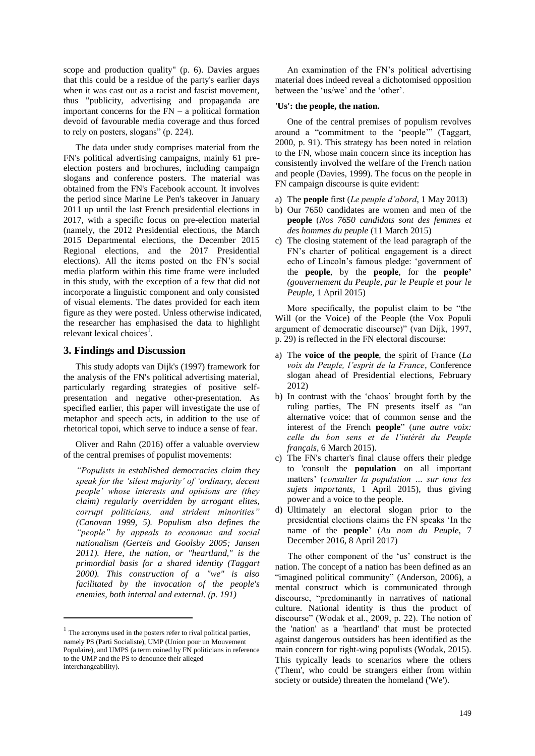scope and production quality" (p. 6). Davies argues that this could be a residue of the party's earlier days when it was cast out as a racist and fascist movement, thus "publicity, advertising and propaganda are important concerns for the  $FN - a$  political formation devoid of favourable media coverage and thus forced to rely on posters, slogans" (p. 224).

The data under study comprises material from the FN's political advertising campaigns, mainly 61 preelection posters and brochures, including campaign slogans and conference posters. The material was obtained from the FN's Facebook account. It involves the period since Marine Le Pen's takeover in January 2011 up until the last French presidential elections in 2017, with a specific focus on pre-election material (namely, the 2012 Presidential elections, the March 2015 Departmental elections, the December 2015 Regional elections, and the 2017 Presidential elections). All the items posted on the FN"s social media platform within this time frame were included in this study, with the exception of a few that did not incorporate a linguistic component and only consisted of visual elements. The dates provided for each item figure as they were posted. Unless otherwise indicated, the researcher has emphasised the data to highlight relevant lexical choices<sup>1</sup>.

# **3. Findings and Discussion**

This study adopts van Dijk's (1997) framework for the analysis of the FN's political advertising material, particularly regarding strategies of positive selfpresentation and negative other-presentation. As specified earlier, this paper will investigate the use of metaphor and speech acts, in addition to the use of rhetorical topoi, which serve to induce a sense of fear.

Oliver and Rahn (2016) offer a valuable overview of the central premises of populist movements:

*"Populists in established democracies claim they speak for the "silent majority" of "ordinary, decent people" whose interests and opinions are (they claim) regularly overridden by arrogant elites, corrupt politicians, and strident minorities" (Canovan 1999, 5). Populism also defines the "people" by appeals to economic and social nationalism (Gerteis and Goolsby 2005; Jansen 2011). Here, the nation, or "heartland," is the primordial basis for a shared identity (Taggart 2000). This construction of a "we" is also facilitated by the invocation of the people's enemies, both internal and external. (p. 191)*

 $\overline{a}$ 

An examination of the FN"s political advertising material does indeed reveal a dichotomised opposition between the 'us/we' and the 'other'.

#### **'Us': the people, the nation.**

One of the central premises of populism revolves around a "commitment to the "people"" (Taggart, 2000, p. 91). This strategy has been noted in relation to the FN, whose main concern since its inception has consistently involved the welfare of the French nation and people (Davies, 1999). The focus on the people in FN campaign discourse is quite evident:

- a) The **people** first (*Le peuple d"abord*, 1 May 2013)
- b) Our 7650 candidates are women and men of the **people** (*Nos 7650 candidats sont des femmes et des hommes du peuple* (11 March 2015)
- c) The closing statement of the lead paragraph of the FN"s charter of political engagement is a direct echo of Lincoln"s famous pledge: "government of the **people**, by the **people**, for the **people'** *(gouvernement du Peuple, par le Peuple et pour le Peuple,* 1 April 2015)

More specifically, the populist claim to be "the Will (or the Voice) of the People (the Vox Populi argument of democratic discourse)" (van Dijk, 1997, p. 29) is reflected in the FN electoral discourse:

- a) The **voice of the people**, the spirit of France (*La voix du Peuple, l"esprit de la France*, Conference slogan ahead of Presidential elections, February 2012)
- b) In contrast with the "chaos" brought forth by the ruling parties, The FN presents itself as "an alternative voice: that of common sense and the interest of the French **people**" (*une autre voix: celle du bon sens et de l"intérêt du Peuple français*, 6 March 2015).
- c) The FN's charter's final clause offers their pledge to 'consult the **population** on all important matters" (*consulter la population … sur tous les sujets importants*, 1 April 2015), thus giving power and a voice to the people.
- d) Ultimately an electoral slogan prior to the presidential elections claims the FN speaks "In the name of the **people**" (*Au nom du Peuple*, 7 December 2016, 8 April 2017)

The other component of the 'us' construct is the nation. The concept of a nation has been defined as an "imagined political community" (Anderson, 2006), a mental construct which is communicated through discourse, "predominantly in narratives of national culture. National identity is thus the product of discourse" (Wodak et al., 2009, p. 22). The notion of the 'nation' as a 'heartland' that must be protected against dangerous outsiders has been identified as the main concern for right-wing populists (Wodak, 2015). This typically leads to scenarios where the others ('Them', who could be strangers either from within society or outside) threaten the homeland ('We').

 $<sup>1</sup>$  The acronyms used in the posters refer to rival political parties,</sup> namely PS (Parti Socialiste), UMP (Union pour un Mouvement Populaire), and UMPS (a term coined by FN politicians in reference to the UMP and the PS to denounce their alleged interchangeability).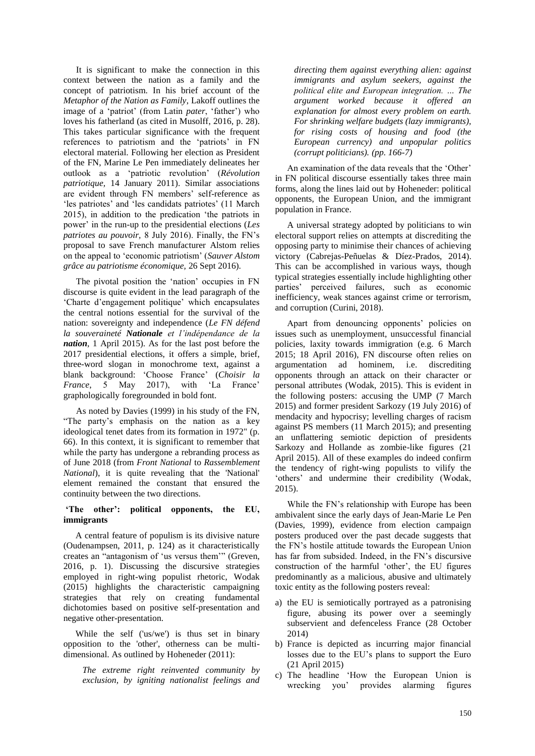It is significant to make the connection in this context between the nation as a family and the concept of patriotism. In his brief account of the *Metaphor of the Nation as Family*, Lakoff outlines the image of a 'patriot' (from Latin *pater*, 'father') who loves his fatherland (as cited in Musolff, 2016, p. 28). This takes particular significance with the frequent references to patriotism and the 'patriots' in FN electoral material. Following her election as President of the FN, Marine Le Pen immediately delineates her outlook as a "patriotic revolution" (*Révolution patriotique,* 14 January 2011). Similar associations are evident through FN members' self-reference as 'les patriotes' and 'les candidats patriotes' (11 March) 2015), in addition to the predication "the patriots in power" in the run-up to the presidential elections (*Les patriotes au pouvoir,* 8 July 2016). Finally, the FN"s proposal to save French manufacturer Alstom relies on the appeal to "economic patriotism" (*Sauver Alstom grâce au patriotisme économique,* 26 Sept 2016).

The pivotal position the "nation" occupies in FN discourse is quite evident in the lead paragraph of the 'Charte d'engagement politique' which encapsulates the central notions essential for the survival of the nation: sovereignty and independence (*Le FN défend la souveraineté Nationale et l"indépendance de la nation*, 1 April 2015). As for the last post before the 2017 presidential elections, it offers a simple, brief, three-word slogan in monochrome text, against a blank background: "Choose France" (*Choisir la France*, 5 May 2017), with 'La France' graphologically foregrounded in bold font.

As noted by Davies (1999) in his study of the FN, "The party"s emphasis on the nation as a key ideological tenet dates from its formation in 1972" (p. 66). In this context, it is significant to remember that while the party has undergone a rebranding process as of June 2018 (from *Front National* to *Rassemblement National*), it is quite revealing that the 'National' element remained the constant that ensured the continuity between the two directions.

#### **'The other': political opponents, the EU, immigrants**

A central feature of populism is its divisive nature (Oudenampsen, 2011, p. 124) as it characteristically creates an "antagonism of "us versus them"" (Greven, 2016, p. 1). Discussing the discursive strategies employed in right-wing populist rhetoric, Wodak (2015) highlights the characteristic campaigning strategies that rely on creating fundamental dichotomies based on positive self-presentation and negative other-presentation.

While the self ('us/we') is thus set in binary opposition to the 'other', otherness can be multidimensional. As outlined by Hoheneder (2011):

*The extreme right reinvented community by exclusion, by igniting nationalist feelings and* 

*directing them against everything alien: against immigrants and asylum seekers, against the political elite and European integration. … The argument worked because it offered an explanation for almost every problem on earth. For shrinking welfare budgets (lazy immigrants), for rising costs of housing and food (the European currency) and unpopular politics (corrupt politicians). (pp. 166-7)*

An examination of the data reveals that the 'Other' in FN political discourse essentially takes three main forms, along the lines laid out by Hoheneder: political opponents, the European Union, and the immigrant population in France.

A universal strategy adopted by politicians to win electoral support relies on attempts at discrediting the opposing party to minimise their chances of achieving victory (Cabrejas-Peñuelas & Díez-Prados, 2014). This can be accomplished in various ways, though typical strategies essentially include highlighting other parties" perceived failures, such as economic inefficiency, weak stances against crime or terrorism, and corruption (Curini, 2018).

Apart from denouncing opponents' policies on issues such as unemployment, unsuccessful financial policies, laxity towards immigration (e.g. 6 March 2015; 18 April 2016), FN discourse often relies on argumentation ad hominem, i.e. discrediting opponents through an attack on their character or personal attributes (Wodak, 2015). This is evident in the following posters: accusing the UMP (7 March 2015) and former president Sarkozy (19 July 2016) of mendacity and hypocrisy; levelling charges of racism against PS members (11 March 2015); and presenting an unflattering semiotic depiction of presidents Sarkozy and Hollande as zombie-like figures (21 April 2015). All of these examples do indeed confirm the tendency of right-wing populists to vilify the "others" and undermine their credibility (Wodak, 2015).

While the FN"s relationship with Europe has been ambivalent since the early days of Jean-Marie Le Pen (Davies, 1999), evidence from election campaign posters produced over the past decade suggests that the FN"s hostile attitude towards the European Union has far from subsided. Indeed, in the FN"s discursive construction of the harmful 'other', the EU figures predominantly as a malicious, abusive and ultimately toxic entity as the following posters reveal:

- a) the EU is semiotically portrayed as a patronising figure, abusing its power over a seemingly subservient and defenceless France (28 October 2014)
- b) France is depicted as incurring major financial losses due to the EU"s plans to support the Euro (21 April 2015)
- c) The headline "How the European Union is wrecking you" provides alarming figures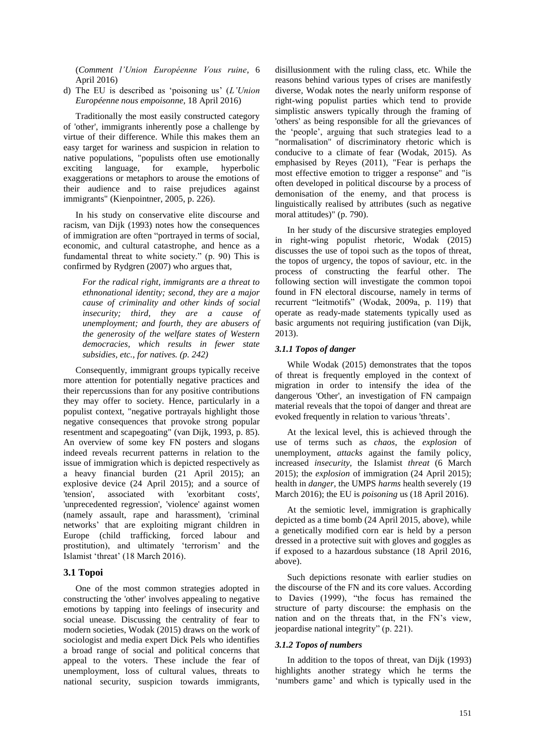(*Comment l"Union Européenne Vous ruine*, 6 April 2016)

d) The EU is described as "poisoning us" (*L"Union Européenne nous empoisonne,* 18 April 2016)

Traditionally the most easily constructed category of 'other', immigrants inherently pose a challenge by virtue of their difference. While this makes them an easy target for wariness and suspicion in relation to native populations, "populists often use emotionally exciting language, for example, hyperbolic exaggerations or metaphors to arouse the emotions of their audience and to raise prejudices against immigrants" (Kienpointner, 2005, p. 226).

In his study on conservative elite discourse and racism, van Dijk (1993) notes how the consequences of immigration are often "portrayed in terms of social, economic, and cultural catastrophe, and hence as a fundamental threat to white society." (p. 90) This is confirmed by Rydgren (2007) who argues that,

> *For the radical right, immigrants are a threat to ethnonational identity; second, they are a major cause of criminality and other kinds of social insecurity; third, they are a cause of unemployment; and fourth, they are abusers of the generosity of the welfare states of Western democracies, which results in fewer state subsidies, etc., for natives. (p. 242)*

Consequently, immigrant groups typically receive more attention for potentially negative practices and their repercussions than for any positive contributions they may offer to society. Hence, particularly in a populist context, "negative portrayals highlight those negative consequences that provoke strong popular resentment and scapegoating" (van Dijk, 1993, p. 85). An overview of some key FN posters and slogans indeed reveals recurrent patterns in relation to the issue of immigration which is depicted respectively as a heavy financial burden (21 April 2015); an explosive device (24 April 2015); and a source of 'tension', associated with 'exorbitant costs', 'unprecedented regression', 'violence' against women (namely assault, rape and harassment), 'criminal networks" that are exploiting migrant children in Europe (child trafficking, forced labour and prostitution), and ultimately "terrorism" and the Islamist "threat" (18 March 2016).

### **3.1 Topoi**

One of the most common strategies adopted in constructing the 'other' involves appealing to negative emotions by tapping into feelings of insecurity and social unease. Discussing the centrality of fear to modern societies, Wodak (2015) draws on the work of sociologist and media expert Dick Pels who identifies a broad range of social and political concerns that appeal to the voters. These include the fear of unemployment, loss of cultural values, threats to national security, suspicion towards immigrants,

disillusionment with the ruling class, etc. While the reasons behind various types of crises are manifestly diverse, Wodak notes the nearly uniform response of right-wing populist parties which tend to provide simplistic answers typically through the framing of 'others' as being responsible for all the grievances of the "people", arguing that such strategies lead to a "normalisation" of discriminatory rhetoric which is conducive to a climate of fear (Wodak, 2015). As emphasised by Reyes (2011), "Fear is perhaps the most effective emotion to trigger a response" and "is often developed in political discourse by a process of demonisation of the enemy, and that process is linguistically realised by attributes (such as negative moral attitudes)" (p. 790).

In her study of the discursive strategies employed in right-wing populist rhetoric, Wodak (2015) discusses the use of topoi such as the topos of threat, the topos of urgency, the topos of saviour, etc. in the process of constructing the fearful other. The following section will investigate the common topoi found in FN electoral discourse, namely in terms of recurrent "leitmotifs" (Wodak, 2009a, p. 119) that operate as ready-made statements typically used as basic arguments not requiring justification (van Dijk, 2013).

#### *3.1.1 Topos of danger*

While Wodak (2015) demonstrates that the topos of threat is frequently employed in the context of migration in order to intensify the idea of the dangerous 'Other', an investigation of FN campaign material reveals that the topoi of danger and threat are evoked frequently in relation to various 'threats".

At the lexical level, this is achieved through the use of terms such as *chaos*, the *explosion* of unemployment, *attacks* against the family policy, increased *insecurity,* the Islamist *threat* (6 March 2015); the *explosion* of immigration (24 April 2015); health in *danger,* the UMPS *harms* health severely (19 March 2016); the EU is *poisoning* us (18 April 2016).

At the semiotic level, immigration is graphically depicted as a time bomb (24 April 2015, above), while a genetically modified corn ear is held by a person dressed in a protective suit with gloves and goggles as if exposed to a hazardous substance (18 April 2016, above).

Such depictions resonate with earlier studies on the discourse of the FN and its core values. According to Davies (1999), "the focus has remained the structure of party discourse: the emphasis on the nation and on the threats that, in the FN"s view, jeopardise national integrity" (p. 221).

#### *3.1.2 Topos of numbers*

In addition to the topos of threat, van Dijk (1993) highlights another strategy which he terms the 'numbers game' and which is typically used in the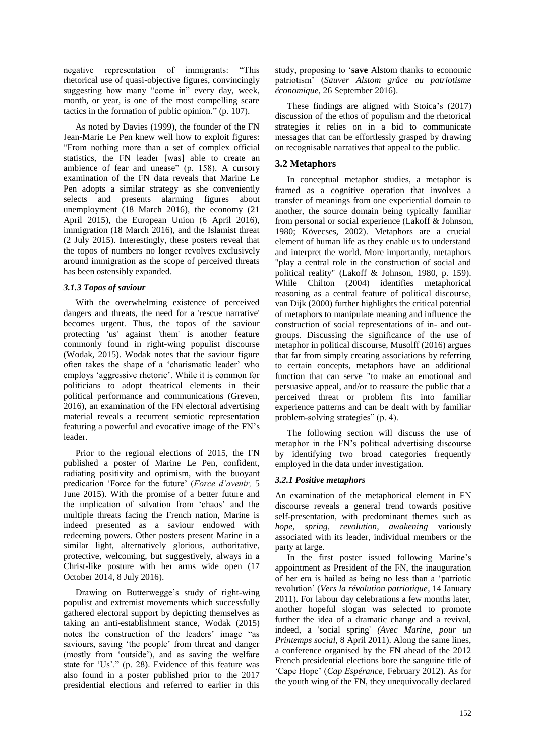negative representation of immigrants: "This rhetorical use of quasi-objective figures, convincingly suggesting how many "come in" every day, week, month, or year, is one of the most compelling scare tactics in the formation of public opinion." (p. 107).

As noted by Davies (1999), the founder of the FN Jean-Marie Le Pen knew well how to exploit figures: "From nothing more than a set of complex official statistics, the FN leader [was] able to create an ambience of fear and unease" (p. 158). A cursory examination of the FN data reveals that Marine Le Pen adopts a similar strategy as she conveniently selects and presents alarming figures about unemployment (18 March 2016), the economy (21 April 2015), the European Union (6 April 2016), immigration (18 March 2016), and the Islamist threat (2 July 2015). Interestingly, these posters reveal that the topos of numbers no longer revolves exclusively around immigration as the scope of perceived threats has been ostensibly expanded.

#### *3.1.3 Topos of saviour*

With the overwhelming existence of perceived dangers and threats, the need for a 'rescue narrative' becomes urgent. Thus, the topos of the saviour protecting 'us' against 'them' is another feature commonly found in right-wing populist discourse (Wodak, 2015). Wodak notes that the saviour figure often takes the shape of a "charismatic leader" who employs "aggressive rhetoric". While it is common for politicians to adopt theatrical elements in their political performance and communications (Greven, 2016), an examination of the FN electoral advertising material reveals a recurrent semiotic representation featuring a powerful and evocative image of the FN"s leader.

Prior to the regional elections of 2015, the FN published a poster of Marine Le Pen, confident, radiating positivity and optimism, with the buoyant predication "Force for the future" (*Force d"avenir,* 5 June 2015). With the promise of a better future and the implication of salvation from "chaos" and the multiple threats facing the French nation, Marine is indeed presented as a saviour endowed with redeeming powers. Other posters present Marine in a similar light, alternatively glorious, authoritative, protective, welcoming, but suggestively, always in a Christ-like posture with her arms wide open (17 October 2014, 8 July 2016).

Drawing on Butterwegge's study of right-wing populist and extremist movements which successfully gathered electoral support by depicting themselves as taking an anti-establishment stance, Wodak (2015) notes the construction of the leaders' image "as saviours, saving 'the people' from threat and danger (mostly from "outside"), and as saving the welfare state for 'Us'." (p. 28). Evidence of this feature was also found in a poster published prior to the 2017 presidential elections and referred to earlier in this

study, proposing to "**save** Alstom thanks to economic patriotism" (*Sauver Alstom grâce au patriotisme économique*, 26 September 2016).

These findings are aligned with Stoica's (2017) discussion of the ethos of populism and the rhetorical strategies it relies on in a bid to communicate messages that can be effortlessly grasped by drawing on recognisable narratives that appeal to the public.

# **3.2 Metaphors**

In conceptual metaphor studies, a metaphor is framed as a cognitive operation that involves a transfer of meanings from one experiential domain to another, the source domain being typically familiar from personal or social experience (Lakoff & Johnson, 1980; Kövecses, 2002). Metaphors are a crucial element of human life as they enable us to understand and interpret the world. More importantly, metaphors "play a central role in the construction of social and political reality" (Lakoff & Johnson, 1980, p. 159). While Chilton (2004) identifies metaphorical reasoning as a central feature of political discourse, van Dijk (2000) further highlights the critical potential of metaphors to manipulate meaning and influence the construction of social representations of in- and outgroups. Discussing the significance of the use of metaphor in political discourse, Musolff (2016) argues that far from simply creating associations by referring to certain concepts, metaphors have an additional function that can serve "to make an emotional and persuasive appeal, and/or to reassure the public that a perceived threat or problem fits into familiar experience patterns and can be dealt with by familiar problem-solving strategies" (p. 4).

The following section will discuss the use of metaphor in the FN"s political advertising discourse by identifying two broad categories frequently employed in the data under investigation.

### *3.2.1 Positive metaphors*

An examination of the metaphorical element in FN discourse reveals a general trend towards positive self-presentation, with predominant themes such as *hope, spring, revolution, awakening* variously associated with its leader, individual members or the party at large.

In the first poster issued following Marine"s appointment as President of the FN, the inauguration of her era is hailed as being no less than a "patriotic revolution" (*Vers la révolution patriotique*, 14 January 2011). For labour day celebrations a few months later, another hopeful slogan was selected to promote further the idea of a dramatic change and a revival, indeed, a 'social spring' *(Avec Marine, pour un Printemps social*, 8 April 2011). Along the same lines, a conference organised by the FN ahead of the 2012 French presidential elections bore the sanguine title of "Cape Hope" (*Cap Espérance*, February 2012). As for the youth wing of the FN, they unequivocally declared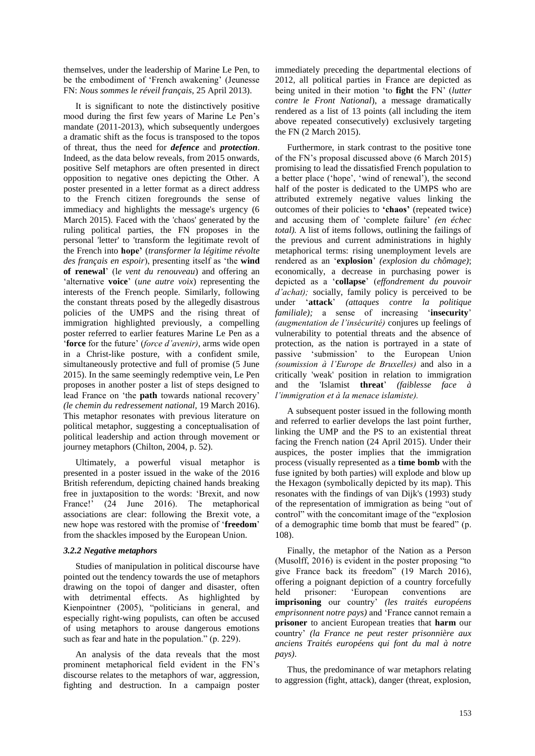themselves, under the leadership of Marine Le Pen, to be the embodiment of 'French awakening' (Jeunesse FN: *Nous sommes le réveil français*, 25 April 2013).

It is significant to note the distinctively positive mood during the first few years of Marine Le Pen"s mandate (2011-2013), which subsequently undergoes a dramatic shift as the focus is transposed to the topos of threat, thus the need for *defence* and *protection*. Indeed, as the data below reveals, from 2015 onwards, positive Self metaphors are often presented in direct opposition to negative ones depicting the Other. A poster presented in a letter format as a direct address to the French citizen foregrounds the sense of immediacy and highlights the message's urgency (6 March 2015). Faced with the 'chaos' generated by the ruling political parties, the FN proposes in the personal 'letter' to 'transform the legitimate revolt of the French into **hope'** (*transformer la légitime révolte des français en espoir*), presenting itself as "the **wind of renewal**" (l*e vent du renouveau*) and offering an "alternative **voice**" (*une autre voix*) representing the interests of the French people. Similarly, following the constant threats posed by the allegedly disastrous policies of the UMPS and the rising threat of immigration highlighted previously, a compelling poster referred to earlier features Marine Le Pen as a "**force** for the future" (*force d"avenir)*, arms wide open in a Christ-like posture, with a confident smile, simultaneously protective and full of promise (5 June 2015). In the same seemingly redemptive vein, Le Pen proposes in another poster a list of steps designed to lead France on "the **path** towards national recovery" *(le chemin du redressement national,* 19 March 2016). This metaphor resonates with previous literature on political metaphor, suggesting a conceptualisation of political leadership and action through movement or journey metaphors (Chilton, 2004, p. 52).

Ultimately, a powerful visual metaphor is presented in a poster issued in the wake of the 2016 British referendum, depicting chained hands breaking free in juxtaposition to the words: "Brexit, and now France!' (24 June 2016). The metaphorical associations are clear: following the Brexit vote, a new hope was restored with the promise of "**freedom**" from the shackles imposed by the European Union.

#### *3.2.2 Negative metaphors*

Studies of manipulation in political discourse have pointed out the tendency towards the use of metaphors drawing on the topoi of danger and disaster, often with detrimental effects. As highlighted by Kienpointner (2005), "politicians in general, and especially right-wing populists, can often be accused of using metaphors to arouse dangerous emotions such as fear and hate in the population." (p. 229).

An analysis of the data reveals that the most prominent metaphorical field evident in the FN"s discourse relates to the metaphors of war, aggression, fighting and destruction. In a campaign poster

immediately preceding the departmental elections of 2012, all political parties in France are depicted as being united in their motion "to **fight** the FN" (*lutter contre le Front National*), a message dramatically rendered as a list of 13 points (all including the item above repeated consecutively) exclusively targeting the FN (2 March 2015).

Furthermore, in stark contrast to the positive tone of the FN"s proposal discussed above (6 March 2015) promising to lead the dissatisfied French population to a better place ('hope', 'wind of renewal'), the second half of the poster is dedicated to the UMPS who are attributed extremely negative values linking the outcomes of their policies to **'chaos'** (repeated twice) and accusing them of "complete failure" *(en échec total).* A list of items follows, outlining the failings of the previous and current administrations in highly metaphorical terms: rising unemployment levels are rendered as an "**explosion**" *(explosion du chômage)*; economically, a decrease in purchasing power is depicted as a "**collapse**" (*effondrement du pouvoir d'achat)*; socially, family policy is perceived to be under "**attack**" *(attaques contre la politique familiale*); a sense of increasing 'insecurity' *(augmentation de l"insécurité)* conjures up feelings of vulnerability to potential threats and the absence of protection, as the nation is portrayed in a state of passive "submission" to the European Union *(soumission à l"Europe de Bruxelles)* and also in a critically 'weak' position in relation to immigration and the 'Islamist **threat**" *(faiblesse face à l"immigration et à la menace islamiste).*

A subsequent poster issued in the following month and referred to earlier develops the last point further, linking the UMP and the PS to an existential threat facing the French nation (24 April 2015). Under their auspices, the poster implies that the immigration process (visually represented as a **time bomb** with the fuse ignited by both parties) will explode and blow up the Hexagon (symbolically depicted by its map). This resonates with the findings of van Dijk's (1993) study of the representation of immigration as being "out of control" with the concomitant image of the "explosion of a demographic time bomb that must be feared" (p. 108).

Finally, the metaphor of the Nation as a Person (Musolff, 2016) is evident in the poster proposing "to give France back its freedom" (19 March 2016), offering a poignant depiction of a country forcefully held prisoner: "European conventions are **imprisoning** our country" *(les traités européens emprisonnent notre pays)* and "France cannot remain a **prisoner** to ancient European treaties that **harm** our country" *(la France ne peut rester prisonnière aux anciens Traités européens qui font du mal à notre pays)*.

Thus, the predominance of war metaphors relating to aggression (fight, attack), danger (threat, explosion,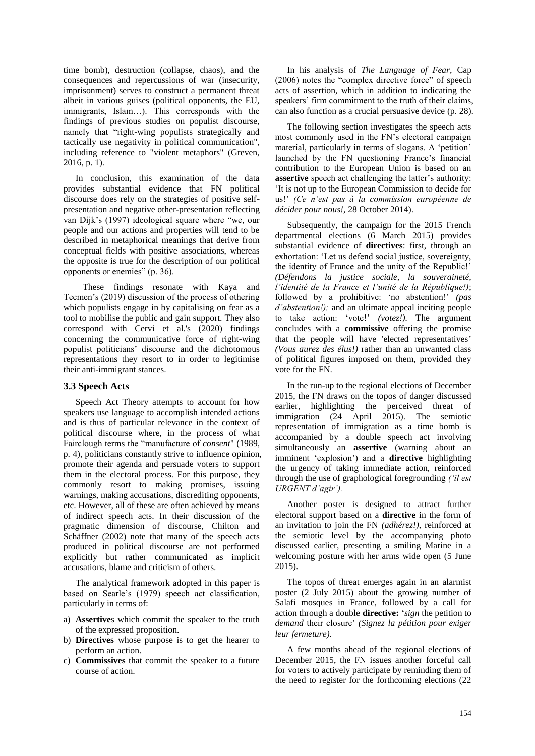time bomb), destruction (collapse, chaos), and the consequences and repercussions of war (insecurity, imprisonment) serves to construct a permanent threat albeit in various guises (political opponents, the EU, immigrants, Islam…). This corresponds with the findings of previous studies on populist discourse, namely that "right-wing populists strategically and tactically use negativity in political communication", including reference to "violent metaphors" (Greven, 2016, p. 1).

In conclusion, this examination of the data provides substantial evidence that FN political discourse does rely on the strategies of positive selfpresentation and negative other-presentation reflecting van Dijk"s (1997) ideological square where "we, our people and our actions and properties will tend to be described in metaphorical meanings that derive from conceptual fields with positive associations, whereas the opposite is true for the description of our political opponents or enemies" (p. 36).

These findings resonate with Kaya and Tecmen"s (2019) discussion of the process of othering which populists engage in by capitalising on fear as a tool to mobilise the public and gain support. They also correspond with Cervi et al.'s (2020) findings concerning the communicative force of right-wing populist politicians" discourse and the dichotomous representations they resort to in order to legitimise their anti-immigrant stances.

### **3.3 Speech Acts**

Speech Act Theory attempts to account for how speakers use language to accomplish intended actions and is thus of particular relevance in the context of political discourse where, in the process of what Fairclough terms the "manufacture of *consent*" (1989, p. 4), politicians constantly strive to influence opinion, promote their agenda and persuade voters to support them in the electoral process. For this purpose, they commonly resort to making promises, issuing warnings, making accusations, discrediting opponents, etc. However, all of these are often achieved by means of indirect speech acts. In their discussion of the pragmatic dimension of discourse, Chilton and Schäffner (2002) note that many of the speech acts produced in political discourse are not performed explicitly but rather communicated as implicit accusations, blame and criticism of others.

The analytical framework adopted in this paper is based on Searle"s (1979) speech act classification, particularly in terms of:

- a) **Assertive**s which commit the speaker to the truth of the expressed proposition.
- b) **Directives** whose purpose is to get the hearer to perform an action.
- c) **Commissives** that commit the speaker to a future course of action.

In his analysis of *The Language of Fear,* Cap (2006) notes the "complex directive force" of speech acts of assertion, which in addition to indicating the speakers' firm commitment to the truth of their claims, can also function as a crucial persuasive device (p. 28).

The following section investigates the speech acts most commonly used in the FN"s electoral campaign material, particularly in terms of slogans. A "petition" launched by the FN questioning France's financial contribution to the European Union is based on an **assertive** speech act challenging the latter's authority: "It is not up to the European Commission to decide for us!" *(Ce n"est pas à la commission européenne de décider pour nous!,* 28 October 2014).

Subsequently, the campaign for the 2015 French departmental elections (6 March 2015) provides substantial evidence of **directives**: first, through an exhortation: "Let us defend social justice, sovereignty, the identity of France and the unity of the Republic!' *(Défendons la justice sociale, la souveraineté, l"identité de la France et l"unité de la République!)*; followed by a prohibitive: "no abstention!" *(pas d"abstention!);* and an ultimate appeal inciting people to take action: "vote!" *(votez!).* The argument concludes with a **commissive** offering the promise that the people will have 'elected representatives' *(Vous aurez des élus!)* rather than an unwanted class of political figures imposed on them, provided they vote for the FN.

In the run-up to the regional elections of December 2015, the FN draws on the topos of danger discussed earlier, highlighting the perceived threat of immigration (24 April 2015). The semiotic representation of immigration as a time bomb is accompanied by a double speech act involving simultaneously an **assertive** (warning about an imminent "explosion") and a **directive** highlighting the urgency of taking immediate action, reinforced through the use of graphological foregrounding *("il est URGENT d"agir").*

Another poster is designed to attract further electoral support based on a **directive** in the form of an invitation to join the FN *(adhérez!)*, reinforced at the semiotic level by the accompanying photo discussed earlier, presenting a smiling Marine in a welcoming posture with her arms wide open (5 June 2015).

The topos of threat emerges again in an alarmist poster (2 July 2015) about the growing number of Salafi mosques in France, followed by a call for action through a double **directive:** "*sign* the petition to *demand* their closure" *(Signez la pétition pour exiger leur fermeture).*

A few months ahead of the regional elections of December 2015, the FN issues another forceful call for voters to actively participate by reminding them of the need to register for the forthcoming elections (22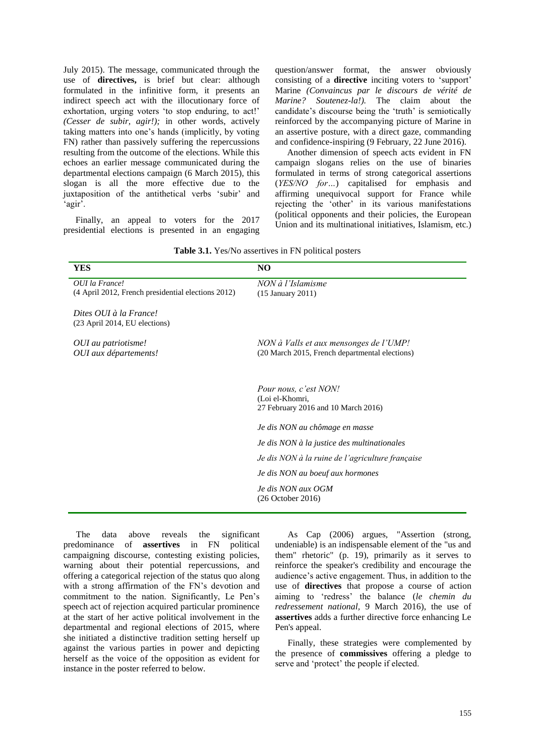July 2015). The message, communicated through the use of **directives,** is brief but clear: although formulated in the infinitive form, it presents an indirect speech act with the illocutionary force of exhortation, urging voters 'to stop enduring, to act!' *(Cesser de subir, agir!);* in other words, actively taking matters into one"s hands (implicitly, by voting FN) rather than passively suffering the repercussions resulting from the outcome of the elections. While this echoes an earlier message communicated during the departmental elections campaign (6 March 2015), this slogan is all the more effective due to the juxtaposition of the antithetical verbs 'subir' and 'agir'.

Finally, an appeal to voters for the 2017 presidential elections is presented in an engaging question/answer format, the answer obviously consisting of a **directive** inciting voters to "support" Marine *(Convaincus par le discours de vérité de Marine? Soutenez-la!).* The claim about the candidate's discourse being the 'truth' is semiotically reinforced by the accompanying picture of Marine in an assertive posture, with a direct gaze, commanding and confidence-inspiring (9 February, 22 June 2016).

Another dimension of speech acts evident in FN campaign slogans relies on the use of binaries formulated in terms of strong categorical assertions (*YES/NO for…*) capitalised for emphasis and affirming unequivocal support for France while rejecting the 'other' in its various manifestations (political opponents and their policies, the European Union and its multinational initiatives, Islamism, etc.)

|  |  | Table 3.1. Yes/No assertives in FN political posters |  |  |  |
|--|--|------------------------------------------------------|--|--|--|
|--|--|------------------------------------------------------|--|--|--|

| YES                                                     | N <sub>O</sub>                                                                                                                                                                                                                                           |
|---------------------------------------------------------|----------------------------------------------------------------------------------------------------------------------------------------------------------------------------------------------------------------------------------------------------------|
| OUI la France!                                          | NON à l'Islamisme                                                                                                                                                                                                                                        |
| (4 April 2012, French presidential elections 2012)      | $(15$ January 2011)                                                                                                                                                                                                                                      |
| Dites OUI à la France!<br>(23 April 2014, EU elections) |                                                                                                                                                                                                                                                          |
| OUI au patriotisme!<br>OUI aux départements!            | NON à Valls et aux mensonges de l'UMP!<br>(20 March 2015, French departmental elections)                                                                                                                                                                 |
|                                                         | Pour nous, c'est NON!<br>(Loi el-Khomri,<br>27 February 2016 and 10 March 2016)<br>Je dis NON au chômage en masse<br>Je dis NON à la justice des multinationales<br>Je dis NON à la ruine de l'agriculture française<br>Je dis NON au boeuf aux hormones |
|                                                         | Je dis NON aux OGM<br>$(26$ October $2016)$                                                                                                                                                                                                              |

The data above reveals the significant predominance of **assertives** in FN political campaigning discourse, contesting existing policies, warning about their potential repercussions, and offering a categorical rejection of the status quo along with a strong affirmation of the FN's devotion and commitment to the nation. Significantly, Le Pen"s speech act of rejection acquired particular prominence at the start of her active political involvement in the departmental and regional elections of 2015, where she initiated a distinctive tradition setting herself up against the various parties in power and depicting herself as the voice of the opposition as evident for instance in the poster referred to below.

As Cap (2006) argues, "Assertion (strong, undeniable) is an indispensable element of the "us and them" rhetoric" (p. 19), primarily as it serves to reinforce the speaker's credibility and encourage the audience"s active engagement. Thus, in addition to the use of **directives** that propose a course of action aiming to "redress" the balance (*le chemin du redressement national,* 9 March 2016), the use of **assertives** adds a further directive force enhancing Le Pen's appeal.

Finally, these strategies were complemented by the presence of **commissives** offering a pledge to serve and 'protect' the people if elected.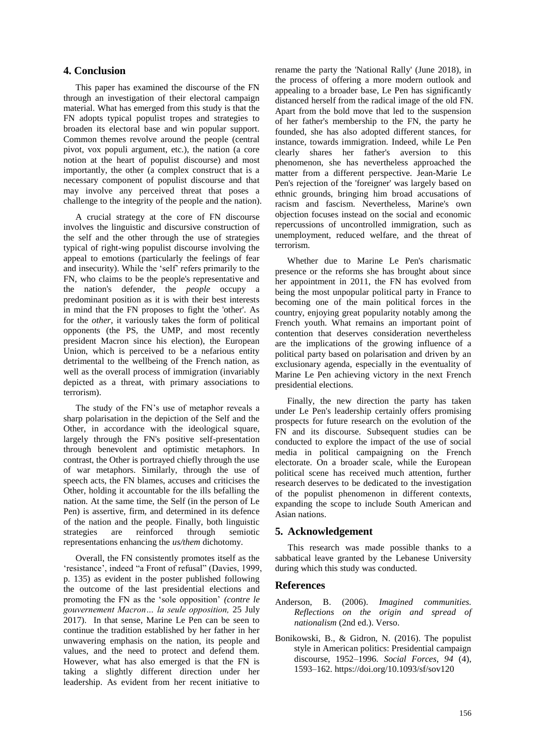# **4. Conclusion**

This paper has examined the discourse of the FN through an investigation of their electoral campaign material. What has emerged from this study is that the FN adopts typical populist tropes and strategies to broaden its electoral base and win popular support. Common themes revolve around the people (central pivot, vox populi argument, etc.), the nation (a core notion at the heart of populist discourse) and most importantly, the other (a complex construct that is a necessary component of populist discourse and that may involve any perceived threat that poses a challenge to the integrity of the people and the nation).

A crucial strategy at the core of FN discourse involves the linguistic and discursive construction of the self and the other through the use of strategies typical of right-wing populist discourse involving the appeal to emotions (particularly the feelings of fear and insecurity). While the "self" refers primarily to the FN, who claims to be the people's representative and the nation's defender, the *people* occupy a predominant position as it is with their best interests in mind that the FN proposes to fight the 'other'. As for the *other*, it variously takes the form of political opponents (the PS, the UMP, and most recently president Macron since his election), the European Union, which is perceived to be a nefarious entity detrimental to the wellbeing of the French nation, as well as the overall process of immigration (invariably depicted as a threat, with primary associations to terrorism).

The study of the FN"s use of metaphor reveals a sharp polarisation in the depiction of the Self and the Other, in accordance with the ideological square, largely through the FN's positive self-presentation through benevolent and optimistic metaphors. In contrast, the Other is portrayed chiefly through the use of war metaphors. Similarly, through the use of speech acts, the FN blames, accuses and criticises the Other, holding it accountable for the ills befalling the nation. At the same time, the Self (in the person of Le Pen) is assertive, firm, and determined in its defence of the nation and the people. Finally, both linguistic strategies are reinforced through semiotic representations enhancing the *us/them* dichotomy.

Overall, the FN consistently promotes itself as the 'resistance', indeed "a Front of refusal" (Davies, 1999, p. 135) as evident in the poster published following the outcome of the last presidential elections and promoting the FN as the "sole opposition" *(contre le gouvernement Macron… la seule opposition,* 25 July 2017). In that sense, Marine Le Pen can be seen to continue the tradition established by her father in her unwavering emphasis on the nation, its people and values, and the need to protect and defend them. However, what has also emerged is that the FN is taking a slightly different direction under her leadership. As evident from her recent initiative to

rename the party the 'National Rally' (June 2018), in the process of offering a more modern outlook and appealing to a broader base, Le Pen has significantly distanced herself from the radical image of the old FN. Apart from the bold move that led to the suspension of her father's membership to the FN, the party he founded, she has also adopted different stances, for instance, towards immigration. Indeed, while Le Pen clearly shares her father's aversion to this phenomenon, she has nevertheless approached the matter from a different perspective. Jean-Marie Le Pen's rejection of the 'foreigner' was largely based on ethnic grounds, bringing him broad accusations of racism and fascism. Nevertheless, Marine's own objection focuses instead on the social and economic repercussions of uncontrolled immigration, such as unemployment, reduced welfare, and the threat of terrorism.

Whether due to Marine Le Pen's charismatic presence or the reforms she has brought about since her appointment in 2011, the FN has evolved from being the most unpopular political party in France to becoming one of the main political forces in the country, enjoying great popularity notably among the French youth. What remains an important point of contention that deserves consideration nevertheless are the implications of the growing influence of a political party based on polarisation and driven by an exclusionary agenda, especially in the eventuality of Marine Le Pen achieving victory in the next French presidential elections.

Finally, the new direction the party has taken under Le Pen's leadership certainly offers promising prospects for future research on the evolution of the FN and its discourse. Subsequent studies can be conducted to explore the impact of the use of social media in political campaigning on the French electorate. On a broader scale, while the European political scene has received much attention, further research deserves to be dedicated to the investigation of the populist phenomenon in different contexts, expanding the scope to include South American and Asian nations.

### **5. Acknowledgement**

This research was made possible thanks to a sabbatical leave granted by the Lebanese University during which this study was conducted.

### **References**

- Anderson, B. (2006). *Imagined communities. Reflections on the origin and spread of nationalism* (2nd ed.). Verso.
- Bonikowski, B., & Gidron, N. (2016). The populist style in American politics: Presidential campaign discourse, 1952–1996. *Social Forces*, *94* (4), 1593–162.<https://doi.org/10.1093/sf/sov120>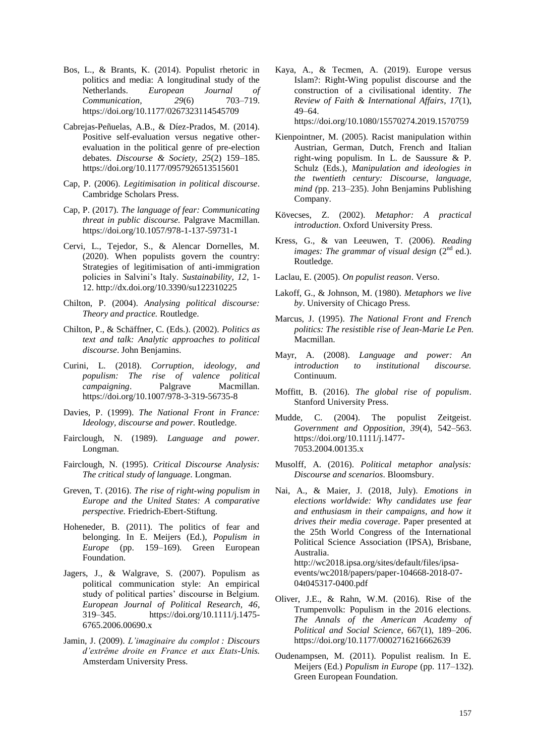- Bos, L., & Brants, K. (2014). Populist rhetoric in politics and media: A longitudinal study of the Netherlands. *European Journal of Communication, 29*(6) 703–719. https://doi.org/10.1177/0267323114545709
- Cabrejas-Peñuelas, A.B., & Díez-Prados, M. (2014). Positive self-evaluation versus negative otherevaluation in the political genre of pre-election debates. *Discourse & Society, 25*(2) 159–185. https://doi.org/10.1177/0957926513515601
- Cap, P. (2006). *Legitimisation in political discourse*. Cambridge Scholars Press.
- Cap, P. (2017). *The language of fear: Communicating threat in public discourse.* Palgrave Macmillan. https://doi.org/10.1057/978-1-137-59731-1
- Cervi, L., Tejedor, S., & Alencar Dornelles, M. (2020). When populists govern the country: Strategies of legitimisation of anti-immigration policies in Salvini"s Italy. *Sustainability, 12*, 1- 12. <http://dx.doi.org/10.3390/su122310225>
- Chilton, P. (2004). *Analysing political discourse: Theory and practice.* Routledge.
- Chilton, P., & Schäffner, C. (Eds.). (2002). *Politics as text and talk: Analytic approaches to political discourse*. John Benjamins.
- Curini, L. (2018). *Corruption, ideology, and populism: The rise of valence political campaigning*. Palgrave Macmillan. https://doi.org/10.1007/978-3-319-56735-8
- Davies, P. (1999). *The National Front in France: Ideology, discourse and power.* Routledge.
- Fairclough, N. (1989). *Language and power.*  Longman.
- Fairclough, N. (1995). *Critical Discourse Analysis: The critical study of language.* Longman.
- Greven, T. (2016). *The rise of right-wing populism in Europe and the United States: A comparative perspective.* Friedrich-Ebert-Stiftung.
- Hoheneder, B. (2011). The politics of fear and belonging. In E. Meijers (Ed.), *Populism in Europe* (pp. 159–169)*.* Green European Foundation.
- Jagers, J., & Walgrave, S. (2007). Populism as political communication style: An empirical study of political parties' discourse in Belgium. *European Journal of Political Research, 46*, 319–345. https://doi.org/10.1111/j.1475- 6765.2006.00690.x
- Jamin, J. (2009). *L"imaginaire du complot : Discours d"extrême droite en France et aux Etats-Unis.* Amsterdam University Press.

Kaya, A., & Tecmen, A. (2019). Europe versus Islam?: Right-Wing populist discourse and the construction of a civilisational identity. *The Review of Faith & International Affairs*, *17*(1), 49–64.

https://doi.org/10.1080/15570274.2019.1570759

- Kienpointner, M. (2005). Racist manipulation within Austrian, German, Dutch, French and Italian right-wing populism. In L. de Saussure & P. Schulz (Eds.)*, Manipulation and ideologies in the twentieth century: Discourse, language, mind (*pp. 213–235). John Benjamins Publishing Company.
- Kövecses, Z. (2002). *Metaphor: A practical introduction*. Oxford University Press.
- Kress, G., & van Leeuwen, T. (2006). *Reading images: The grammar of visual design* (2<sup>nd</sup> ed.). Routledge.
- Laclau, E. (2005). *On populist reason*. Verso.
- Lakoff, G., & Johnson, M. (1980). *Metaphors we live by*. University of Chicago Press.
- Marcus, J. (1995). *The National Front and French politics: The resistible rise of Jean-Marie Le Pen.* Macmillan.
- Mayr, A. (2008). *Language and power: An introduction to institutional discourse.*  Continuum.
- Moffitt, B. (2016). *The global rise of populism*. Stanford University Press.
- Mudde, C. (2004). The populist Zeitgeist. *Government and Opposition, 39*(4), 542–563. https://doi.org/10.1111/j.1477- 7053.2004.00135.x
- Musolff, A. (2016). *Political metaphor analysis: Discourse and scenarios*. Bloomsbury.
- Nai, A., & Maier, J. (2018, July). *Emotions in elections worldwide: Why candidates use fear and enthusiasm in their campaigns, and how it drives their media coverage*. Paper presented at the 25th World Congress of the International Political Science Association (IPSA), Brisbane, Australia. http://wc2018.ipsa.org/sites/default/files/ipsaevents/wc2018/papers/paper-104668-2018-07- 04t045317-0400.pdf
- Oliver, J.E., & Rahn, W.M. (2016). Rise of the Trumpenvolk: Populism in the 2016 elections. *The Annals of the American Academy of Political and Social Science*, 667(1), 189–206. https://doi.org/10.1177/0002716216662639
- Oudenampsen, M. (2011). Populist realism. In E. Meijers (Ed.) *Populism in Europe* (pp. 117–132)*.* Green European Foundation.